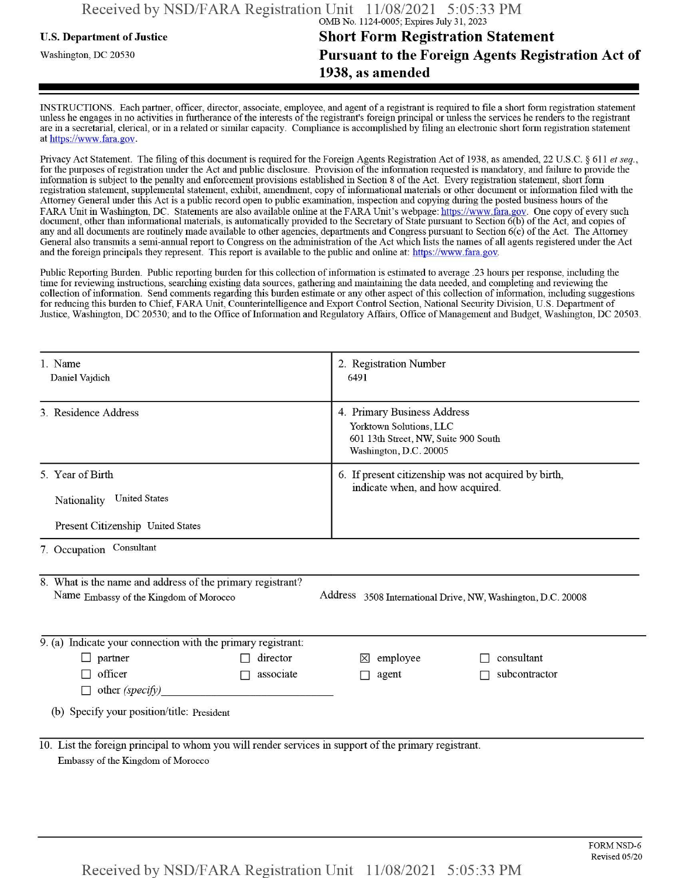## **u.s.** Department ofJustice **Short Form Registration Statement** Washington, dc <sup>20530</sup>**Pursuant to the Foreign Agents Registration Act of 1938, as amended**

INSTRUCTIONS. Each partner, officer, director, associate, employee, and agent of a registrant is required to file a short form registration statement unless he engages in no activities in furtherance ofthe interests ofthe registrant's foreign principal or unless the services he renders to the registrant are in a secretarial, clerical, or in a related or similar capacity. Compliance is accomplished by filing an electronic short form registration statement at https://www.fara.gov.

Privacy Act Statement. The filing of this document is required for the Foreign Agents Registration Act of 1938, as amended, 22 U.S.C. § 611 et seq., for the purposes ofregistration under the Act and public disclosure. Provision ofthe information requested is mandatory, and failure to provide the information is subject to the penalty and enforcement provisions established in Section 8 ofthe Act. Every registration statement, short form registration statement, supplemental statement, exhibit, amendment, copy ofinformational materials or other document or information filed with the Attorney General under this Act is a public record open to public examination, inspection and copying during the posted business hours of the FARA Unit in Washington, DC. Statements are also available online at the FARA Unit's webpage: https://www.fara.gov. One copy of every such document, other than informational materials, is automatically provided to the Secretary of State pursuant to Section 6(b) ofthe Act, and copies of any and all documents are routinely made available to other agencies, departments and Congress pursuant to Section 6(c) ofthe Act. The Attorney General also transmits a semi-annual report to Congress on the administration ofthe Act which lists the names of all agents registered under the Act and the foreign principals they represent. This report is available to the public and online at: https://www.fara.gov.

Public Reporting Burden. Public reporting burden for this collection ofinformation is estimated to average .23 hours per response, including the time for reviewing instructions, searching existing data sources, gathering and maintaining the data needed, and completing and reviewing the collection of information. Send comments regarding this burden estimate or any other aspect of this collection of information, including suggestions for reducing this burden to Chief, FARA Unit, Counterintelligence and Export Control Section, National Security Division, U.S. Department of Justice, Washington, DC 20530; and to the Office of Information and Regulatory Affairs, Office of Management and Budget, Washington, DC 20503.

| 1. Name<br>Daniel Vajdich                                                                                                                                            | 2. Registration Number<br>6491                                                                                           |  |  |  |  |  |  |
|----------------------------------------------------------------------------------------------------------------------------------------------------------------------|--------------------------------------------------------------------------------------------------------------------------|--|--|--|--|--|--|
| 3. Residence Address                                                                                                                                                 | 4. Primary Business Address<br>Yorktown Solutions, LLC<br>601 13th Street, NW, Suite 900 South<br>Washington, D.C. 20005 |  |  |  |  |  |  |
| 5. Year of Birth<br>Nationality United States<br>Present Citizenship United States                                                                                   | 6. If present citizenship was not acquired by birth,<br>indicate when, and how acquired.                                 |  |  |  |  |  |  |
| 7. Occupation Consultant                                                                                                                                             |                                                                                                                          |  |  |  |  |  |  |
| 8. What is the name and address of the primary registrant?<br>Address 3508 International Drive, NW, Washington, D.C. 20008<br>Name Embassy of the Kingdom of Morocco |                                                                                                                          |  |  |  |  |  |  |
| $\overline{9}$ . (a) Indicate your connection with the primary registrant:                                                                                           |                                                                                                                          |  |  |  |  |  |  |
| director<br>$\Box$ partner<br>officer<br>associate<br>$\mathcal{L}_{\rm{eff}}$<br>other (specify)                                                                    | consultant<br>employee<br>$\mathsf{X}$<br>subcontractor<br>agent                                                         |  |  |  |  |  |  |
| (b) Specify your position/title: President                                                                                                                           |                                                                                                                          |  |  |  |  |  |  |
| 10. List the foreign principal to whom you will render services in support of the primary registrant.<br>Embassy of the Kingdom of Morocco                           |                                                                                                                          |  |  |  |  |  |  |